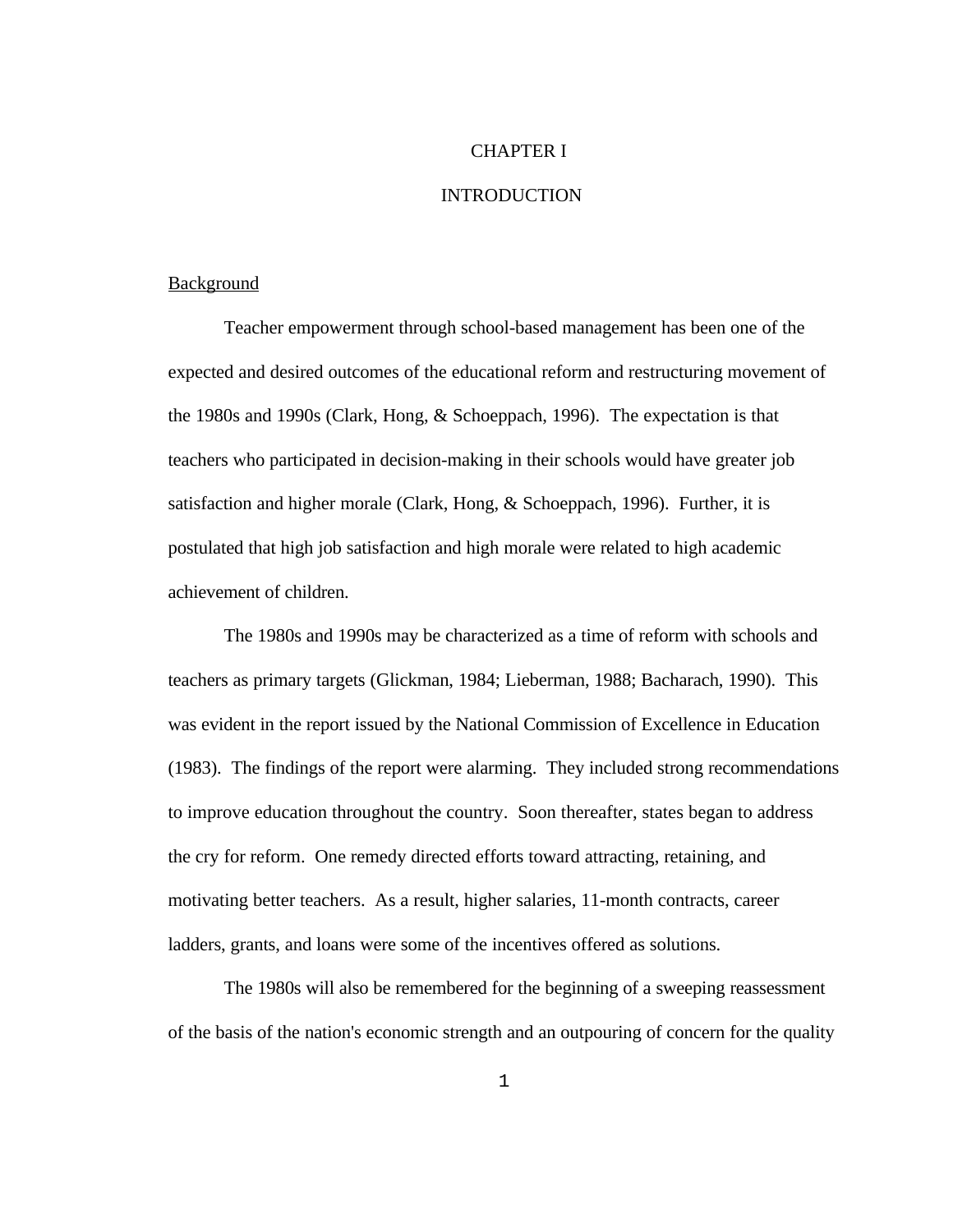### CHAPTER I

## INTRODUCTION

## Background

Teacher empowerment through school-based management has been one of the expected and desired outcomes of the educational reform and restructuring movement of the 1980s and 1990s (Clark, Hong, & Schoeppach, 1996). The expectation is that teachers who participated in decision-making in their schools would have greater job satisfaction and higher morale (Clark, Hong, & Schoeppach, 1996). Further, it is postulated that high job satisfaction and high morale were related to high academic achievement of children.

The 1980s and 1990s may be characterized as a time of reform with schools and teachers as primary targets (Glickman, 1984; Lieberman, 1988; Bacharach, 1990). This was evident in the report issued by the National Commission of Excellence in Education (1983). The findings of the report were alarming. They included strong recommendations to improve education throughout the country. Soon thereafter, states began to address the cry for reform. One remedy directed efforts toward attracting, retaining, and motivating better teachers. As a result, higher salaries, 11-month contracts, career ladders, grants, and loans were some of the incentives offered as solutions.

The 1980s will also be remembered for the beginning of a sweeping reassessment of the basis of the nation's economic strength and an outpouring of concern for the quality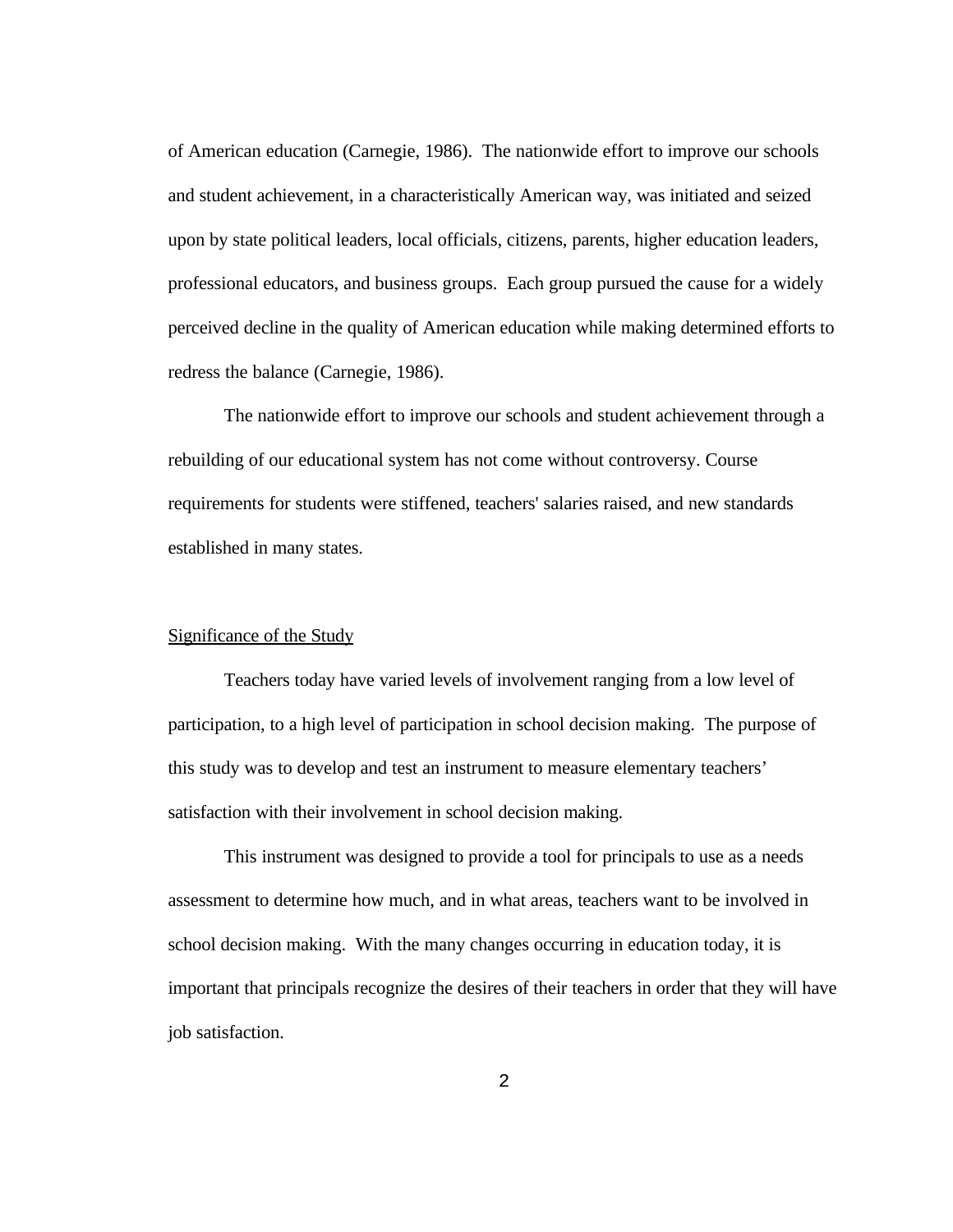of American education (Carnegie, 1986). The nationwide effort to improve our schools and student achievement, in a characteristically American way, was initiated and seized upon by state political leaders, local officials, citizens, parents, higher education leaders, professional educators, and business groups. Each group pursued the cause for a widely perceived decline in the quality of American education while making determined efforts to redress the balance (Carnegie, 1986).

The nationwide effort to improve our schools and student achievement through a rebuilding of our educational system has not come without controversy. Course requirements for students were stiffened, teachers' salaries raised, and new standards established in many states.

## Significance of the Study

Teachers today have varied levels of involvement ranging from a low level of participation, to a high level of participation in school decision making. The purpose of this study was to develop and test an instrument to measure elementary teachers' satisfaction with their involvement in school decision making.

This instrument was designed to provide a tool for principals to use as a needs assessment to determine how much, and in what areas, teachers want to be involved in school decision making. With the many changes occurring in education today, it is important that principals recognize the desires of their teachers in order that they will have job satisfaction.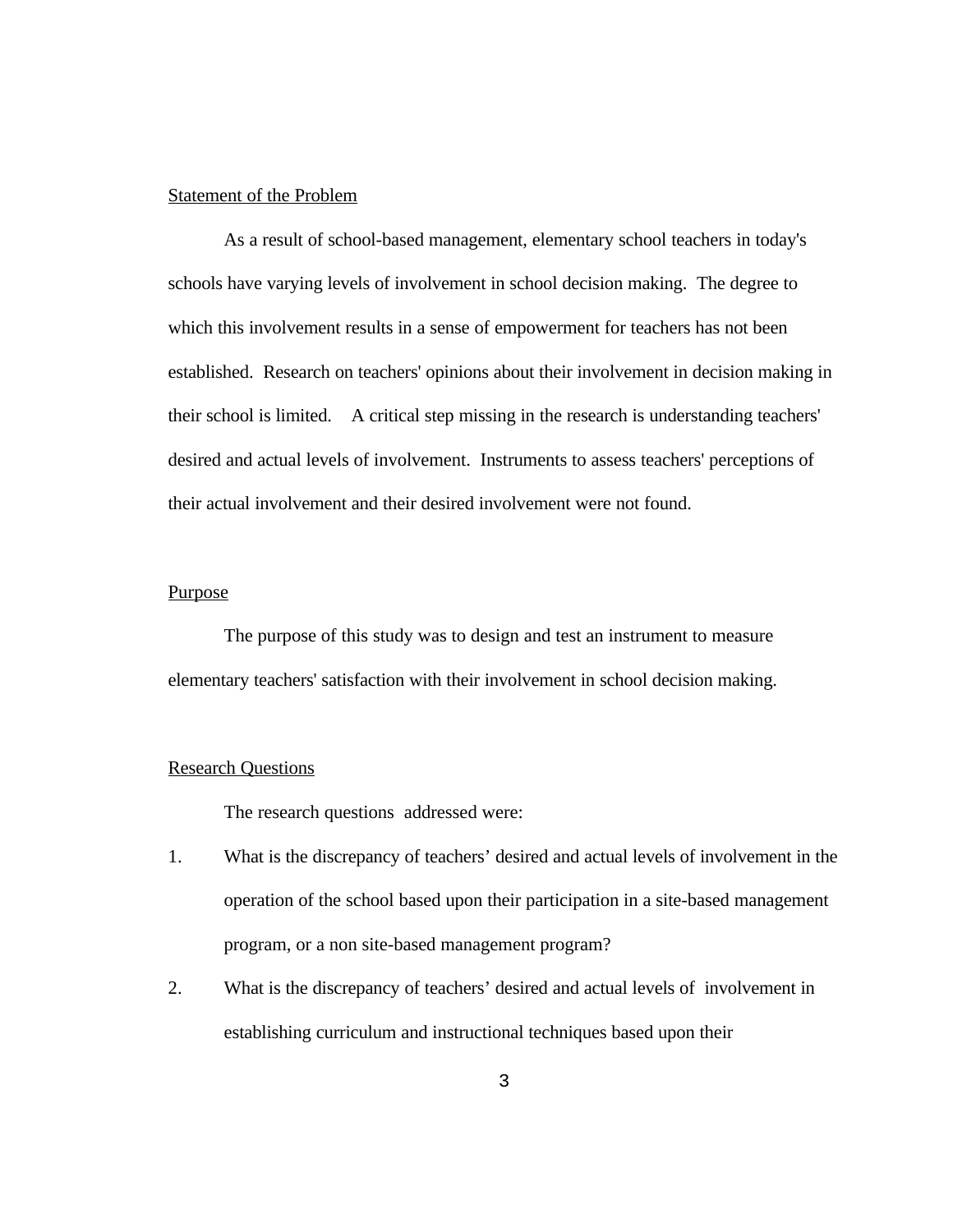## Statement of the Problem

As a result of school-based management, elementary school teachers in today's schools have varying levels of involvement in school decision making. The degree to which this involvement results in a sense of empowerment for teachers has not been established. Research on teachers' opinions about their involvement in decision making in their school is limited. A critical step missing in the research is understanding teachers' desired and actual levels of involvement. Instruments to assess teachers' perceptions of their actual involvement and their desired involvement were not found.

# Purpose

The purpose of this study was to design and test an instrument to measure elementary teachers' satisfaction with their involvement in school decision making.

## Research Questions

The research questions addressed were:

- 1. What is the discrepancy of teachers' desired and actual levels of involvement in the operation of the school based upon their participation in a site-based management program, or a non site-based management program?
- 2. What is the discrepancy of teachers' desired and actual levels of involvement in establishing curriculum and instructional techniques based upon their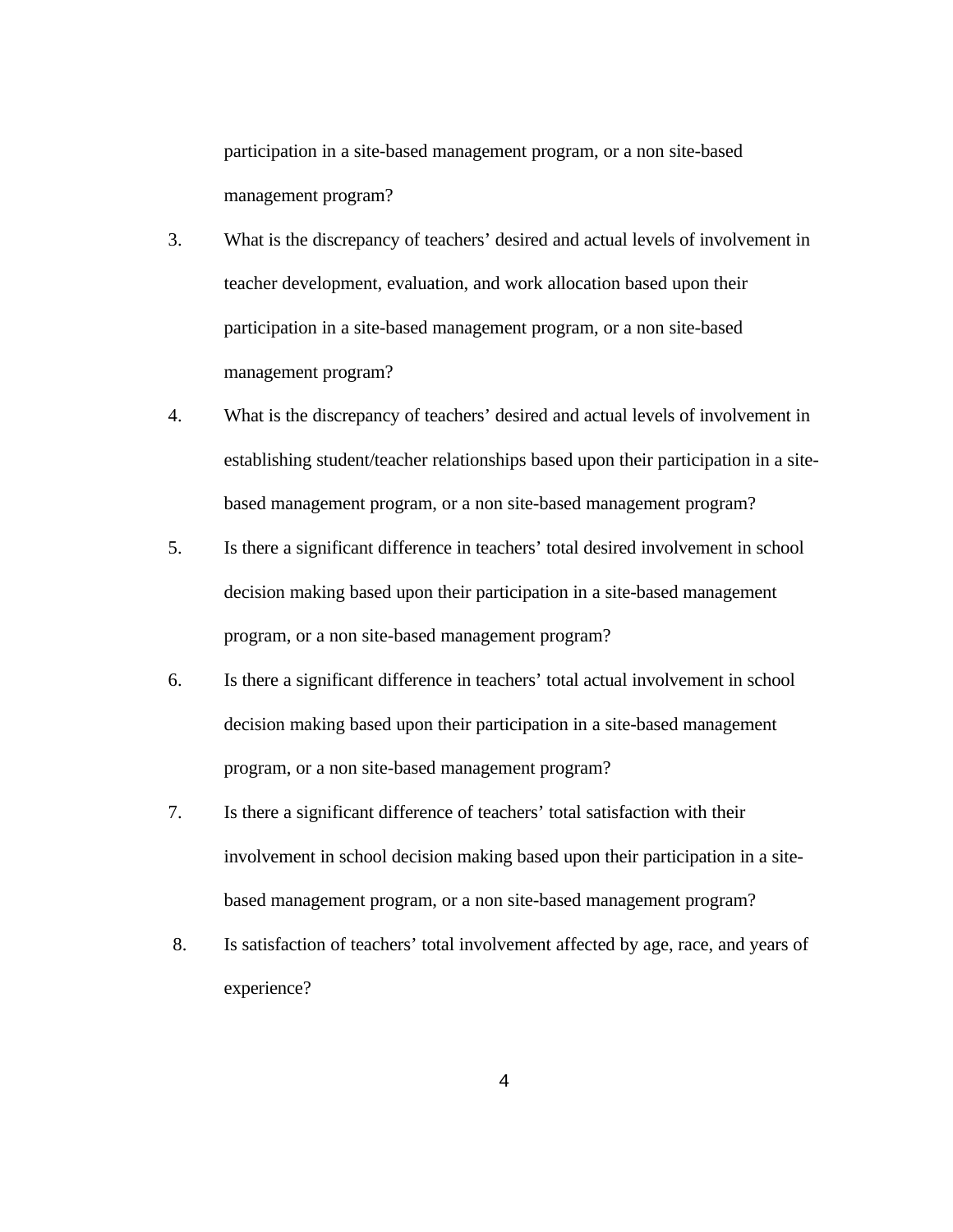participation in a site-based management program, or a non site-based management program?

- 3. What is the discrepancy of teachers' desired and actual levels of involvement in teacher development, evaluation, and work allocation based upon their participation in a site-based management program, or a non site-based management program?
- 4. What is the discrepancy of teachers' desired and actual levels of involvement in establishing student/teacher relationships based upon their participation in a sitebased management program, or a non site-based management program?
- 5. Is there a significant difference in teachers' total desired involvement in school decision making based upon their participation in a site-based management program, or a non site-based management program?
- 6. Is there a significant difference in teachers' total actual involvement in school decision making based upon their participation in a site-based management program, or a non site-based management program?
- 7. Is there a significant difference of teachers' total satisfaction with their involvement in school decision making based upon their participation in a sitebased management program, or a non site-based management program?
- 8. Is satisfaction of teachers' total involvement affected by age, race, and years of experience?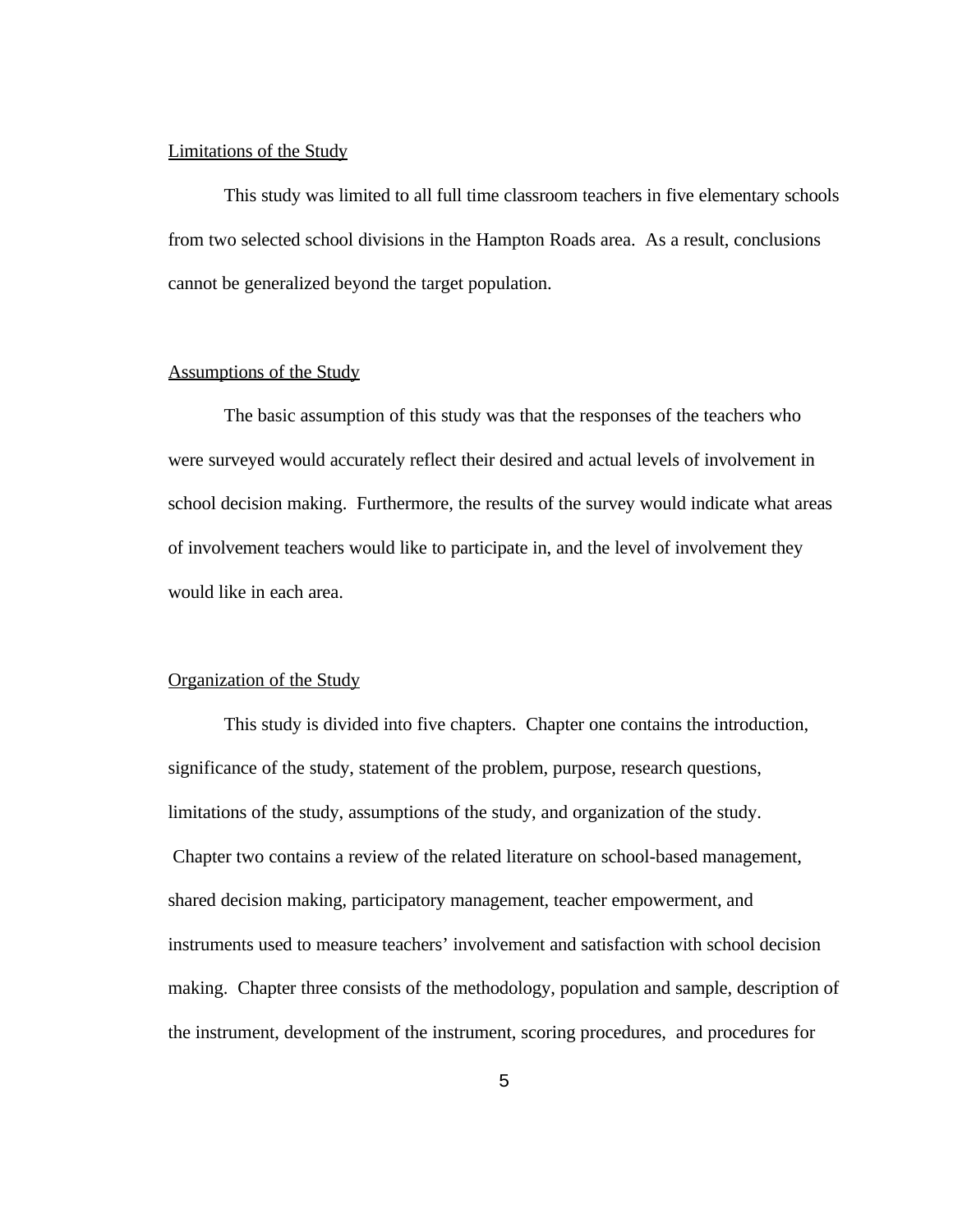#### Limitations of the Study

This study was limited to all full time classroom teachers in five elementary schools from two selected school divisions in the Hampton Roads area. As a result, conclusions cannot be generalized beyond the target population.

## Assumptions of the Study

The basic assumption of this study was that the responses of the teachers who were surveyed would accurately reflect their desired and actual levels of involvement in school decision making. Furthermore, the results of the survey would indicate what areas of involvement teachers would like to participate in, and the level of involvement they would like in each area.

## Organization of the Study

This study is divided into five chapters. Chapter one contains the introduction, significance of the study, statement of the problem, purpose, research questions, limitations of the study, assumptions of the study, and organization of the study. Chapter two contains a review of the related literature on school-based management, shared decision making, participatory management, teacher empowerment, and instruments used to measure teachers' involvement and satisfaction with school decision making. Chapter three consists of the methodology, population and sample, description of the instrument, development of the instrument, scoring procedures, and procedures for